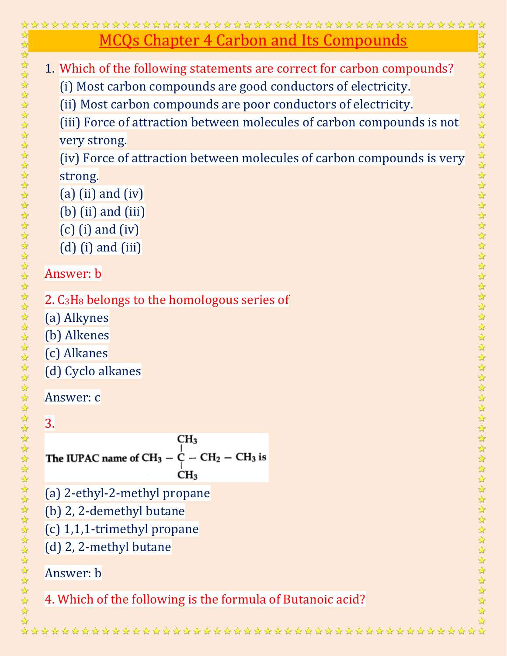| <u>MCQs Chapter 4 Carbon and Its Compounds</u>                         |
|------------------------------------------------------------------------|
| 1. Which of the following statements are correct for carbon compounds? |
| (i) Most carbon compounds are good conductors of electricity.          |
| (ii) Most carbon compounds are poor conductors of electricity.         |
| (iii) Force of attraction between molecules of carbon compounds is not |
| very strong.                                                           |
| (iv) Force of attraction between molecules of carbon compounds is very |
| strong.                                                                |
| $(a)$ (ii) and (iv)                                                    |
| $(b)$ (ii) and (iii)                                                   |
| $(c)$ (i) and (iv)                                                     |
| $(d)$ (i) and (iii)                                                    |
| Answer: b                                                              |
|                                                                        |
| 2. C <sub>3</sub> H <sub>8</sub> belongs to the homologous series of   |
| (a) Alkynes                                                            |
| (b) Alkenes                                                            |
| (c) Alkanes                                                            |
| (d) Cyclo alkanes                                                      |
| Answer: c                                                              |
|                                                                        |
| 3.<br>CH <sub>3</sub>                                                  |
| The IUPAC name of $CH_3 - C - CH_2 - CH_3$ is                          |
| CH <sub>3</sub>                                                        |
| (a) 2-ethyl-2-methyl propane                                           |
| (b) 2, 2-demethyl butane                                               |
| (c) 1,1,1-trimethyl propane                                            |
| (d) 2, 2-methyl butane                                                 |
|                                                                        |
| Answer: b                                                              |
| 4. Which of the following is the formula of Butanoic acid?             |
|                                                                        |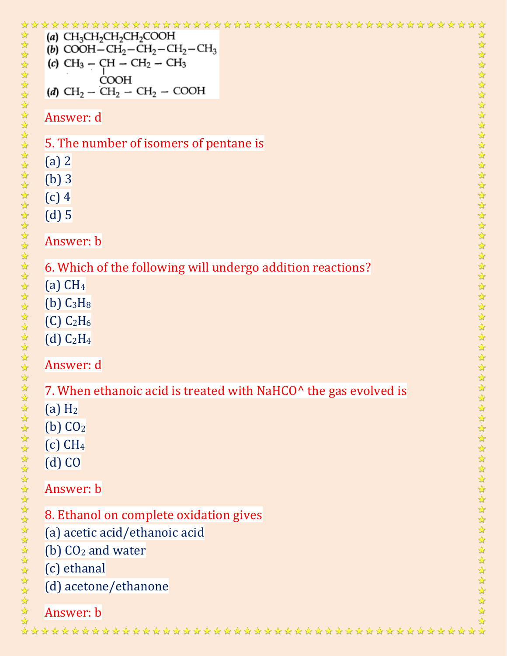| 5555                                          | (a) $CH_3CH_2CH_2CH_2COOH$<br>☆<br>公众公众<br>(b) COOH-CH <sub>2</sub> -CH <sub>2</sub> -CH <sub>2</sub> -CH <sub>3</sub><br>(c) $CH_3 - CH - CH_2 - CH_3$<br><b>COOH</b><br>$\frac{1}{2}$<br>(d) $CH_2 - CH_2 - CH_2 - COOH$<br>$\frac{1}{2}$                                                                                                                                                                                                                                                                                                                                                                                                                                                       |  |
|-----------------------------------------------|---------------------------------------------------------------------------------------------------------------------------------------------------------------------------------------------------------------------------------------------------------------------------------------------------------------------------------------------------------------------------------------------------------------------------------------------------------------------------------------------------------------------------------------------------------------------------------------------------------------------------------------------------------------------------------------------------|--|
|                                               | $\frac{1}{2}$<br>$\frac{1}{2}$<br>Answer: d<br>$\frac{1}{2}$<br>$\frac{1}{2}$<br>5. The number of isomers of pentane is<br>$\frac{1}{2}$<br>$\frac{1}{\sqrt{2}}$<br>$(a)$ 2<br>$\frac{1}{\sqrt{2}}$<br>$\frac{1}{\sqrt{2}}$<br>(b)3<br>公公公公公<br>$(c)$ 4<br>$(d)$ 5                                                                                                                                                                                                                                                                                                                                                                                                                                |  |
| なななななななななななななななななななななななななななな<br>$\frac{1}{2}$ | $\frac{1}{\sqrt{2}}$<br>Answer: b<br>☆<br>☆<br>☆<br>6. Which of the following will undergo addition reactions?<br>$\frac{1}{2}$<br>$(a)$ CH <sub>4</sub><br>$\frac{1}{2}$<br>$\frac{1}{2}$<br>$(b)$ $C_3H_8$<br>$\frac{1}{\sqrt{2}}$<br>$\frac{1}{2}$<br>$(C)$ $C_2H_6$<br>$\frac{1}{\sqrt{2}}$<br>$\frac{1}{2}$<br>(d) C <sub>2</sub> H <sub>4</sub><br>$\frac{1}{2}$<br>$\frac{1}{2}$<br>Answer: d<br>$\frac{1}{2\sqrt{3}}$<br>$\frac{1}{\sqrt{2}}$<br>$\frac{1}{2}$<br>7. When ethanoic acid is treated with NaHCO^ the gas evolved is<br>$\frac{1}{2}$<br>$\frac{1}{2}$<br>$(a)$ H <sub>2</sub><br>$\frac{1}{2}$<br>$(b)$ CO <sub>2</sub><br>公众公众公众公众公众公<br>$(c)$ CH <sub>4</sub><br>$(d)$ CO |  |
| ☆☆☆☆☆☆☆☆☆☆☆☆☆☆☆☆☆☆☆☆☆☆☆☆                      | Answer: b<br>8. Ethanol on complete oxidation gives<br>(a) acetic acid/ethanoic acid<br>$\frac{1}{2}$<br>$\frac{1}{2}$<br>(b) $CO2$ and water<br>$\frac{1}{2}$<br>(c) ethanal<br>公公公公公<br>(d) acetone/ethanone<br>Answer: b                                                                                                                                                                                                                                                                                                                                                                                                                                                                       |  |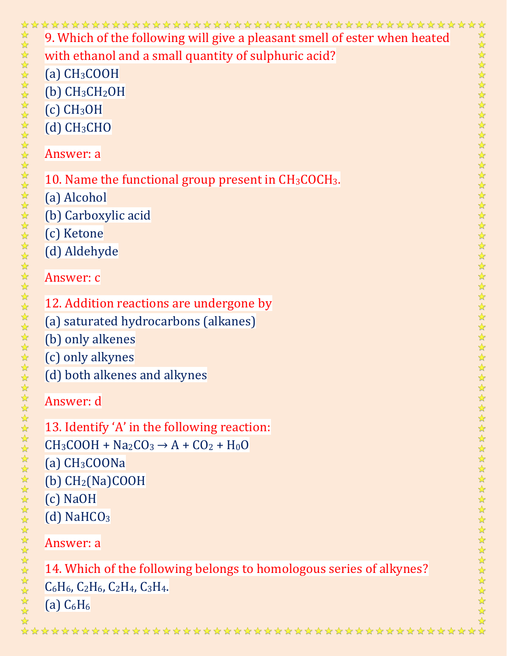|                                | 9. Which of the following will give a pleasant smell of ester when heated<br>$\frac{1}{\sqrt{2}}$     |
|--------------------------------|-------------------------------------------------------------------------------------------------------|
|                                | with ethanol and a small quantity of sulphuric acid?                                                  |
|                                | $(a)$ CH <sub>3</sub> COOH                                                                            |
|                                | $(b)$ CH <sub>3</sub> CH <sub>2</sub> OH                                                              |
|                                | $(c)$ CH <sub>3</sub> OH                                                                              |
|                                | $(d)$ CH <sub>3</sub> CH <sub>O</sub>                                                                 |
| なななななななななななななななななななななななななななななな | 222222222222<br>Answer: a                                                                             |
|                                | ☆<br>10. Name the functional group present in $CH3COCH3$ .<br>☆                                       |
|                                | ☆<br>(a) Alcohol<br>$\frac{1}{2}$                                                                     |
|                                | $\frac{1}{2}$<br>(b) Carboxylic acid<br>$\frac{1}{2}$                                                 |
|                                | (c) Ketone<br>$\frac{1}{2}$                                                                           |
|                                | $\frac{1}{2}$<br>(d) Aldehyde<br>$\frac{1}{\sqrt{2}}$                                                 |
|                                | $\frac{1}{2}$<br>$\frac{1}{2}$<br>Answer: c                                                           |
|                                | $\frac{1}{2}$<br>$\frac{1}{2}$                                                                        |
|                                | 12. Addition reactions are undergone by<br>$\frac{1}{2}$                                              |
|                                | 5分 25<br>(a) saturated hydrocarbons (alkanes)                                                         |
|                                | $\frac{1}{2}$<br>(b) only alkenes<br>$\frac{1}{2}$                                                    |
|                                | 冷冷冷<br>(c) only alkynes                                                                               |
|                                | (d) both alkenes and alkynes                                                                          |
|                                | $\frac{1}{2}$<br>Answer: d                                                                            |
|                                | 13. Identify 'A' in the following reaction:                                                           |
|                                | ☆<br>$CH3COOH + Na2CO3 \rightarrow A + CO2 + H0O$<br>☆                                                |
|                                | ☆<br>$(a)$ CH <sub>3</sub> COONa<br>☆                                                                 |
|                                | ☆<br>(b) CH <sub>2</sub> (Na)COOH<br>$\frac{1}{2}$                                                    |
|                                | $(c)$ NaOH<br>$\frac{1}{2}$                                                                           |
|                                | $\frac{1}{2}$<br>$(d)$ NaHCO <sub>3</sub>                                                             |
| *****************              | 冷冷冷<br>Answer: a                                                                                      |
|                                | $\frac{1}{\sqrt{2}}$<br>☆                                                                             |
|                                | 14. Which of the following belongs to homologous series of alkynes?<br>$\frac{1}{2}$<br>$\frac{1}{2}$ |
|                                | $C_6H_6$ , $C_2H_6$ , $C_2H_4$ , $C_3H_4$ .<br>☆<br>$\frac{1}{2}$                                     |
|                                | (a) $C_6H_6$<br>☆                                                                                     |
|                                |                                                                                                       |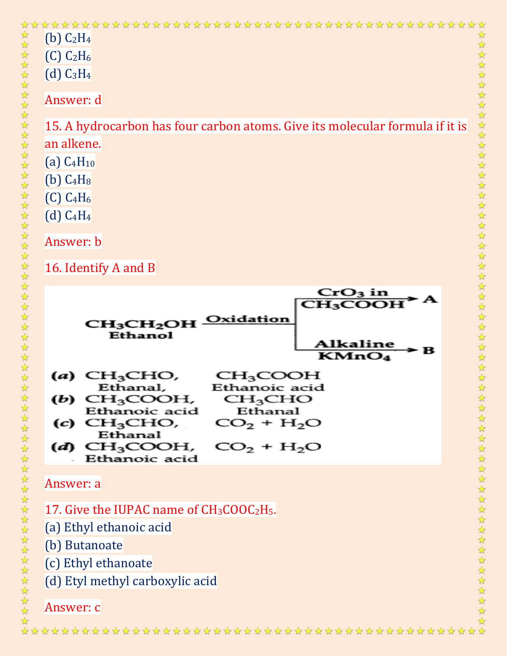| **************************<br>(b) $C_2H_4$<br>$(C)$ $C_2H_6$<br>$(d)$ $C_3H_4$<br>Answer: d<br>15. A hydrocarbon has four carbon atoms. Give its molecular formula if it is<br>an alkene.<br>$(a)$ $C_4H_{10}$<br>$(b)$ $C_4H_8$<br>$(C)$ $C_4H_6$<br>$(d)$ $C_4H_4$         | 经经公                                                                                                  |
|------------------------------------------------------------------------------------------------------------------------------------------------------------------------------------------------------------------------------------------------------------------------------|------------------------------------------------------------------------------------------------------|
| Answer: b<br>16. Identify A and B                                                                                                                                                                                                                                            |                                                                                                      |
| CrO3 in<br>CH <sub>3</sub> COOH<br>Oxidation<br>CH <sub>3</sub> CH <sub>2</sub> OH<br><b>Ethanol</b><br>Alkaline<br>в<br>$\overline{\text{KMnO}}_4$                                                                                                                          | 化水水水水水水水水水水水水水水水水水水水水水<br>$\frac{1}{2}$<br>$\frac{1}{2}$                                             |
| CH <sub>3</sub> CHO,<br>CH <sub>3</sub> COOH<br>(a)<br>Ethanal,<br>Ethanoic acid<br>CH <sub>3</sub> COOH,<br>CH <sub>3</sub> CHO<br>(b)<br>Ethanoic acid<br>Ethanal<br>$(c)$ CH <sub>3</sub> CHO,<br>$CO2 + H2O$<br>Ethanal<br>CH <sub>3</sub> COOH,<br>$CO_2 + H_2O$<br>(d) | $\frac{1}{2}$<br>$\mathbf{r}$<br>$\frac{1}{\sqrt{2}}$<br>$\frac{1}{2}$<br><b>外界外外外外外外外外外外外外外外外外外</b> |
| Ethanoic acid<br>Answer: a                                                                                                                                                                                                                                                   |                                                                                                      |
| 17. Give the IUPAC name of $CH3COOC2H5$ .<br>(a) Ethyl ethanoic acid<br>(b) Butanoate<br>(c) Ethyl ethanoate<br>(d) Etyl methyl carboxylic acid                                                                                                                              |                                                                                                      |
| Answer: c                                                                                                                                                                                                                                                                    |                                                                                                      |